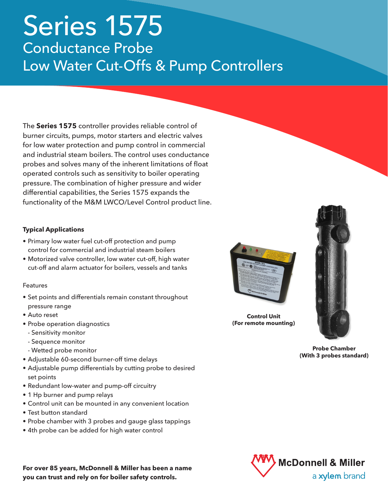# Series 1575 Conductance Probe Low Water Cut-Offs & Pump Controllers

The **Series 1575** controller provides reliable control of burner circuits, pumps, motor starters and electric valves for low water protection and pump control in commercial and industrial steam boilers. The control uses conductance probes and solves many of the inherent limitations of float operated controls such as sensitivity to boiler operating pressure. The combination of higher pressure and wider differential capabilities, the Series 1575 expands the functionality of the M&M LWCO/Level Control product line.

### **Typical Applications**

- Primary low water fuel cut-off protection and pump control for commercial and industrial steam boilers
- Motorized valve controller, low water cut-off, high water cut-off and alarm actuator for boilers, vessels and tanks

#### Features

- Set points and differentials remain constant throughout pressure range
- Auto reset
- Probe operation diagnostics
	- Sensitivity monitor
	- Sequence monitor
	- Wetted probe monitor
- Adjustable 60-second burner-off time delays
- Adjustable pump differentials by cutting probe to desired set points
- Redundant low-water and pump-off circuitry
- 1 Hp burner and pump relays
- Control unit can be mounted in any convenient location
- Test button standard
- Probe chamber with 3 probes and gauge glass tappings
- 4th probe can be added for high water control

**For over 85 years, McDonnell & Miller has been a name you can trust and rely on for boiler safety controls.**



**Control Unit (For remote mounting)**



**Probe Chamber (With 3 probes standard)**